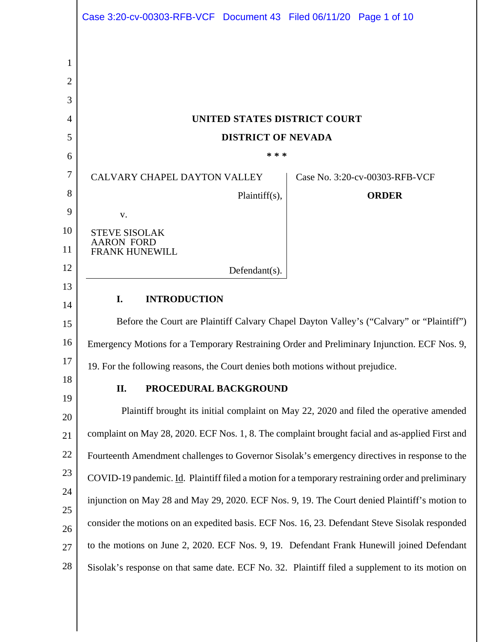|          | Case 3:20-cv-00303-RFB-VCF Document 43 Filed 06/11/20 Page 1 of 10                                |                                |
|----------|---------------------------------------------------------------------------------------------------|--------------------------------|
|          |                                                                                                   |                                |
| 1        |                                                                                                   |                                |
| 2        |                                                                                                   |                                |
| 3        |                                                                                                   |                                |
| 4        | UNITED STATES DISTRICT COURT                                                                      |                                |
| 5        | <b>DISTRICT OF NEVADA</b>                                                                         |                                |
| 6        | * * *                                                                                             |                                |
| 7        | CALVARY CHAPEL DAYTON VALLEY                                                                      | Case No. 3:20-cv-00303-RFB-VCF |
| 8        | Plaintiff(s),                                                                                     | <b>ORDER</b>                   |
| 9        | V.                                                                                                |                                |
| 10<br>11 | <b>STEVE SISOLAK</b><br><b>AARON FORD</b><br><b>FRANK HUNEWILL</b>                                |                                |
| 12       | Defendant(s).                                                                                     |                                |
| 13       |                                                                                                   |                                |
| 14       | I.<br><b>INTRODUCTION</b>                                                                         |                                |
| 15       | Before the Court are Plaintiff Calvary Chapel Dayton Valley's ("Calvary" or "Plaintiff")          |                                |
| 16       | Emergency Motions for a Temporary Restraining Order and Preliminary Injunction. ECF Nos. 9,       |                                |
| 17       | 19. For the following reasons, the Court denies both motions without prejudice.                   |                                |
| 18       | II.<br>PROCEDURAL BACKGROUND                                                                      |                                |
| 19       | Plaintiff brought its initial complaint on May 22, 2020 and filed the operative amended           |                                |
| 20       | complaint on May 28, 2020. ECF Nos. 1, 8. The complaint brought facial and as-applied First and   |                                |
| 21<br>22 |                                                                                                   |                                |
| 23       | Fourteenth Amendment challenges to Governor Sisolak's emergency directives in response to the     |                                |
| 24       | COVID-19 pandemic. Id. Plaintiff filed a motion for a temporary restraining order and preliminary |                                |
| 25       | injunction on May 28 and May 29, 2020. ECF Nos. 9, 19. The Court denied Plaintiff's motion to     |                                |
| 26       | consider the motions on an expedited basis. ECF Nos. 16, 23. Defendant Steve Sisolak responded    |                                |
| 27       | to the motions on June 2, 2020. ECF Nos. 9, 19. Defendant Frank Hunewill joined Defendant         |                                |
| 28       | Sisolak's response on that same date. ECF No. 32. Plaintiff filed a supplement to its motion on   |                                |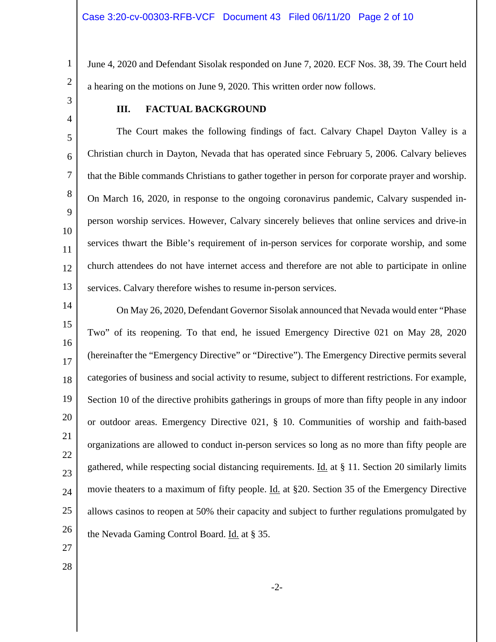June 4, 2020 and Defendant Sisolak responded on June 7, 2020. ECF Nos. 38, 39. The Court held a hearing on the motions on June 9, 2020. This written order now follows.

3 4

5

6

7

8

9

10

11

12

13

1

2

# **III. FACTUAL BACKGROUND**

The Court makes the following findings of fact. Calvary Chapel Dayton Valley is a Christian church in Dayton, Nevada that has operated since February 5, 2006. Calvary believes that the Bible commands Christians to gather together in person for corporate prayer and worship. On March 16, 2020, in response to the ongoing coronavirus pandemic, Calvary suspended inperson worship services. However, Calvary sincerely believes that online services and drive-in services thwart the Bible's requirement of in-person services for corporate worship, and some church attendees do not have internet access and therefore are not able to participate in online services. Calvary therefore wishes to resume in-person services.

14 15 16 17 18 19 20 21 22 23 24 25 26 On May 26, 2020, Defendant Governor Sisolak announced that Nevada would enter "Phase Two" of its reopening. To that end, he issued Emergency Directive 021 on May 28, 2020 (hereinafter the "Emergency Directive" or "Directive"). The Emergency Directive permits several categories of business and social activity to resume, subject to different restrictions. For example, Section 10 of the directive prohibits gatherings in groups of more than fifty people in any indoor or outdoor areas. Emergency Directive 021, § 10. Communities of worship and faith-based organizations are allowed to conduct in-person services so long as no more than fifty people are gathered, while respecting social distancing requirements. Id. at § 11. Section 20 similarly limits movie theaters to a maximum of fifty people. <u>Id.</u> at §20. Section 35 of the Emergency Directive allows casinos to reopen at 50% their capacity and subject to further regulations promulgated by the Nevada Gaming Control Board. Id. at § 35.

- 27
- 28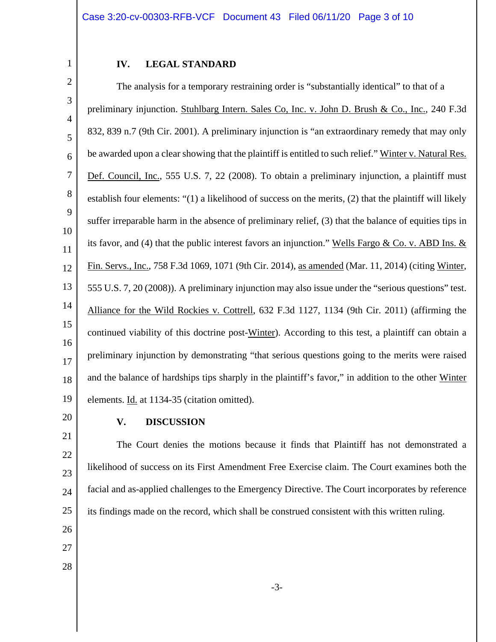### **IV. LEGAL STANDARD**

2 3 4 5 6 7 8 9 10 11 12 13 14 15 16 17 18 19 The analysis for a temporary restraining order is "substantially identical" to that of a preliminary injunction. Stuhlbarg Intern. Sales Co, Inc. v. John D. Brush & Co., Inc., 240 F.3d 832, 839 n.7 (9th Cir. 2001). A preliminary injunction is "an extraordinary remedy that may only be awarded upon a clear showing that the plaintiff is entitled to such relief." Winter v. Natural Res. Def. Council, Inc., 555 U.S. 7, 22 (2008). To obtain a preliminary injunction, a plaintiff must establish four elements: "(1) a likelihood of success on the merits, (2) that the plaintiff will likely suffer irreparable harm in the absence of preliminary relief, (3) that the balance of equities tips in its favor, and (4) that the public interest favors an injunction." Wells Fargo & Co. v. ABD Ins.  $&$ Fin. Servs., Inc., 758 F.3d 1069, 1071 (9th Cir. 2014), as amended (Mar. 11, 2014) (citing Winter, 555 U.S. 7, 20 (2008)). A preliminary injunction may also issue under the "serious questions" test. Alliance for the Wild Rockies v. Cottrell, 632 F.3d 1127, 1134 (9th Cir. 2011) (affirming the continued viability of this doctrine post-Winter). According to this test, a plaintiff can obtain a preliminary injunction by demonstrating "that serious questions going to the merits were raised and the balance of hardships tips sharply in the plaintiff's favor," in addition to the other Winter elements. Id. at 1134-35 (citation omitted).

20

1

# **V. DISCUSSION**

21 22 23 24 25 The Court denies the motions because it finds that Plaintiff has not demonstrated a likelihood of success on its First Amendment Free Exercise claim. The Court examines both the facial and as-applied challenges to the Emergency Directive. The Court incorporates by reference its findings made on the record, which shall be construed consistent with this written ruling.

- 26
- 27
- 28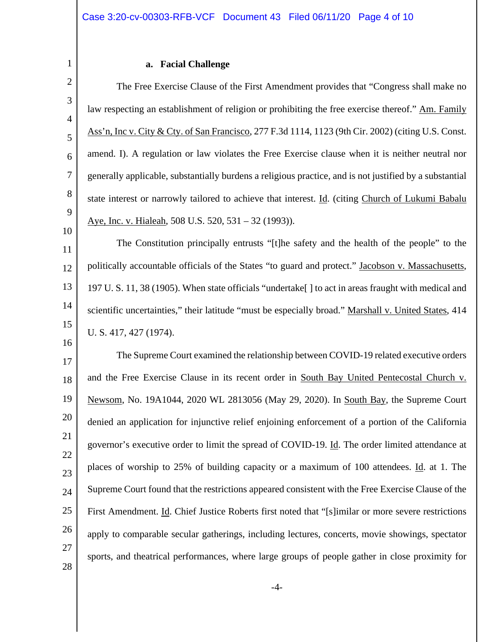#### **a. Facial Challenge**

1

2

3

4

5

6

7

8

9

10

16

The Free Exercise Clause of the First Amendment provides that "Congress shall make no law respecting an establishment of religion or prohibiting the free exercise thereof." Am. Family Ass'n, Inc v. City & Cty. of San Francisco, 277 F.3d 1114, 1123 (9th Cir. 2002) (citing U.S. Const. amend. I). A regulation or law violates the Free Exercise clause when it is neither neutral nor generally applicable, substantially burdens a religious practice, and is not justified by a substantial state interest or narrowly tailored to achieve that interest. Id. (citing Church of Lukumi Babalu Aye, Inc. v. Hialeah, 508 U.S. 520, 531 – 32 (1993)).

11 12 13 14 15 The Constitution principally entrusts "[t]he safety and the health of the people" to the politically accountable officials of the States "to guard and protect." Jacobson v. Massachusetts, 197 U. S. 11, 38 (1905). When state officials "undertake[ ] to act in areas fraught with medical and scientific uncertainties," their latitude "must be especially broad." Marshall v. United States, 414 U. S. 417, 427 (1974).

17 18 19 20 21 22 23 24 25 26 27 28 The Supreme Court examined the relationship between COVID-19 related executive orders and the Free Exercise Clause in its recent order in South Bay United Pentecostal Church v. Newsom, No. 19A1044, 2020 WL 2813056 (May 29, 2020). In South Bay, the Supreme Court denied an application for injunctive relief enjoining enforcement of a portion of the California governor's executive order to limit the spread of COVID-19. Id. The order limited attendance at places of worship to 25% of building capacity or a maximum of 100 attendees. Id. at 1. The Supreme Court found that the restrictions appeared consistent with the Free Exercise Clause of the First Amendment. Id. Chief Justice Roberts first noted that "[s]imilar or more severe restrictions apply to comparable secular gatherings, including lectures, concerts, movie showings, spectator sports, and theatrical performances, where large groups of people gather in close proximity for

-4-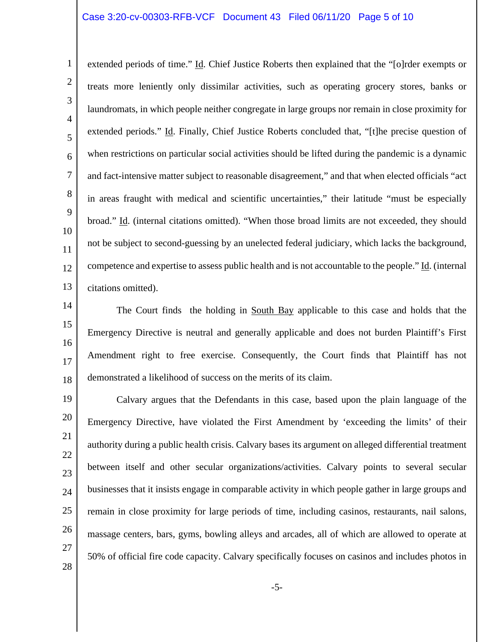#### Case 3:20-cv-00303-RFB-VCF Document 43 Filed 06/11/20 Page 5 of 10

extended periods of time." Id. Chief Justice Roberts then explained that the "[o]rder exempts or treats more leniently only dissimilar activities, such as operating grocery stores, banks or laundromats, in which people neither congregate in large groups nor remain in close proximity for extended periods." Id. Finally, Chief Justice Roberts concluded that, "[t]he precise question of when restrictions on particular social activities should be lifted during the pandemic is a dynamic and fact-intensive matter subject to reasonable disagreement," and that when elected officials "act in areas fraught with medical and scientific uncertainties," their latitude "must be especially broad." Id. (internal citations omitted). "When those broad limits are not exceeded, they should not be subject to second-guessing by an unelected federal judiciary, which lacks the background, competence and expertise to assess public health and is not accountable to the people." Id. (internal citations omitted).

15 16 17 18 The Court finds the holding in South Bay applicable to this case and holds that the Emergency Directive is neutral and generally applicable and does not burden Plaintiff's First Amendment right to free exercise. Consequently, the Court finds that Plaintiff has not demonstrated a likelihood of success on the merits of its claim.

19 20 21 22 23 25 26 27 28 Calvary argues that the Defendants in this case, based upon the plain language of the Emergency Directive, have violated the First Amendment by 'exceeding the limits' of their authority during a public health crisis. Calvary bases its argument on alleged differential treatment between itself and other secular organizations/activities. Calvary points to several secular businesses that it insists engage in comparable activity in which people gather in large groups and remain in close proximity for large periods of time, including casinos, restaurants, nail salons, massage centers, bars, gyms, bowling alleys and arcades, all of which are allowed to operate at 50% of official fire code capacity. Calvary specifically focuses on casinos and includes photos in

1

2

3

4

5

6

7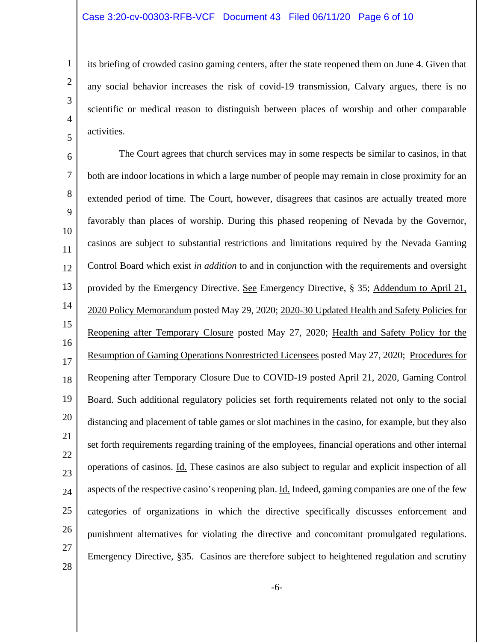its briefing of crowded casino gaming centers, after the state reopened them on June 4. Given that any social behavior increases the risk of covid-19 transmission, Calvary argues, there is no scientific or medical reason to distinguish between places of worship and other comparable activities.

6 7 8 9 10 11 12 13 14 15 16 17 18 19 20 21 22 23 24 25 26 27 28 The Court agrees that church services may in some respects be similar to casinos, in that both are indoor locations in which a large number of people may remain in close proximity for an extended period of time. The Court, however, disagrees that casinos are actually treated more favorably than places of worship. During this phased reopening of Nevada by the Governor, casinos are subject to substantial restrictions and limitations required by the Nevada Gaming Control Board which exist *in addition* to and in conjunction with the requirements and oversight provided by the Emergency Directive. See Emergency Directive, § 35; Addendum to April 21, 2020 Policy Memorandum posted May 29, 2020; 2020-30 Updated Health and Safety Policies for Reopening after Temporary Closure posted May 27, 2020; Health and Safety Policy for the Resumption of Gaming Operations Nonrestricted Licensees posted May 27, 2020; Procedures for Reopening after Temporary Closure Due to COVID-19 posted April 21, 2020, Gaming Control Board. Such additional regulatory policies set forth requirements related not only to the social distancing and placement of table games or slot machines in the casino, for example, but they also set forth requirements regarding training of the employees, financial operations and other internal operations of casinos. Id. These casinos are also subject to regular and explicit inspection of all aspects of the respective casino's reopening plan. Id. Indeed, gaming companies are one of the few categories of organizations in which the directive specifically discusses enforcement and punishment alternatives for violating the directive and concomitant promulgated regulations. Emergency Directive, §35. Casinos are therefore subject to heightened regulation and scrutiny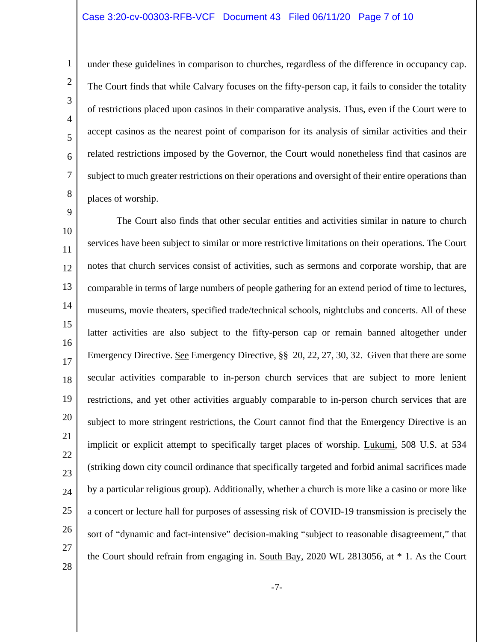#### Case 3:20-cv-00303-RFB-VCF Document 43 Filed 06/11/20 Page 7 of 10

under these guidelines in comparison to churches, regardless of the difference in occupancy cap. The Court finds that while Calvary focuses on the fifty-person cap, it fails to consider the totality of restrictions placed upon casinos in their comparative analysis. Thus, even if the Court were to accept casinos as the nearest point of comparison for its analysis of similar activities and their related restrictions imposed by the Governor, the Court would nonetheless find that casinos are subject to much greater restrictions on their operations and oversight of their entire operations than places of worship.

10 11 12 13 14 15 16 17 18 19 20 21 22 23 24 25 26 27 28 The Court also finds that other secular entities and activities similar in nature to church services have been subject to similar or more restrictive limitations on their operations. The Court notes that church services consist of activities, such as sermons and corporate worship, that are comparable in terms of large numbers of people gathering for an extend period of time to lectures, museums, movie theaters, specified trade/technical schools, nightclubs and concerts. All of these latter activities are also subject to the fifty-person cap or remain banned altogether under Emergency Directive. See Emergency Directive, §§ 20, 22, 27, 30, 32. Given that there are some secular activities comparable to in-person church services that are subject to more lenient restrictions, and yet other activities arguably comparable to in-person church services that are subject to more stringent restrictions, the Court cannot find that the Emergency Directive is an implicit or explicit attempt to specifically target places of worship. Lukumi, 508 U.S. at 534 (striking down city council ordinance that specifically targeted and forbid animal sacrifices made by a particular religious group). Additionally, whether a church is more like a casino or more like a concert or lecture hall for purposes of assessing risk of COVID-19 transmission is precisely the sort of "dynamic and fact-intensive" decision-making "subject to reasonable disagreement," that the Court should refrain from engaging in. South Bay, 2020 WL 2813056, at \* 1. As the Court

-7-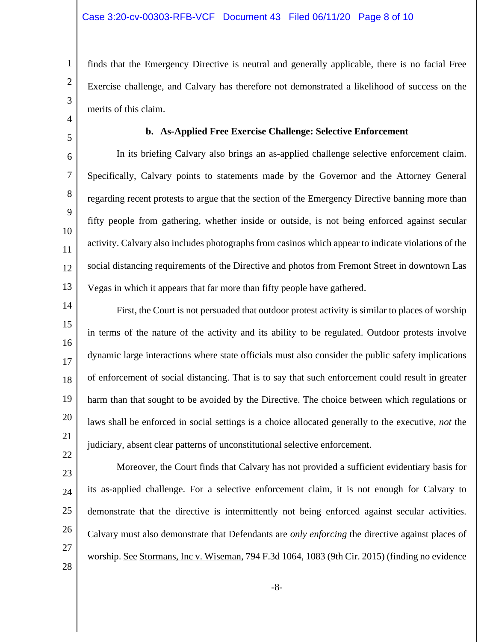finds that the Emergency Directive is neutral and generally applicable, there is no facial Free Exercise challenge, and Calvary has therefore not demonstrated a likelihood of success on the merits of this claim.

5 6

7

8

9

10

11

12

13

1

2

3

4

### **b. As-Applied Free Exercise Challenge: Selective Enforcement**

In its briefing Calvary also brings an as-applied challenge selective enforcement claim. Specifically, Calvary points to statements made by the Governor and the Attorney General regarding recent protests to argue that the section of the Emergency Directive banning more than fifty people from gathering, whether inside or outside, is not being enforced against secular activity. Calvary also includes photographs from casinos which appear to indicate violations of the social distancing requirements of the Directive and photos from Fremont Street in downtown Las Vegas in which it appears that far more than fifty people have gathered.

14 15 16 17 18 19 20 21 22 First, the Court is not persuaded that outdoor protest activity is similar to places of worship in terms of the nature of the activity and its ability to be regulated. Outdoor protests involve dynamic large interactions where state officials must also consider the public safety implications of enforcement of social distancing. That is to say that such enforcement could result in greater harm than that sought to be avoided by the Directive. The choice between which regulations or laws shall be enforced in social settings is a choice allocated generally to the executive, *not* the judiciary, absent clear patterns of unconstitutional selective enforcement.

23 24 25 26 27 28 Moreover, the Court finds that Calvary has not provided a sufficient evidentiary basis for its as-applied challenge. For a selective enforcement claim, it is not enough for Calvary to demonstrate that the directive is intermittently not being enforced against secular activities. Calvary must also demonstrate that Defendants are *only enforcing* the directive against places of worship. See Stormans, Inc v. Wiseman, 794 F.3d 1064, 1083 (9th Cir. 2015) (finding no evidence

-8-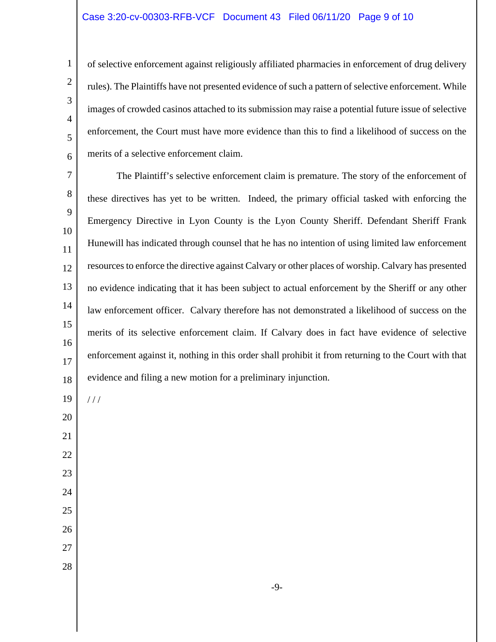### Case 3:20-cv-00303-RFB-VCF Document 43 Filed 06/11/20 Page 9 of 10

of selective enforcement against religiously affiliated pharmacies in enforcement of drug delivery rules). The Plaintiffs have not presented evidence of such a pattern of selective enforcement. While images of crowded casinos attached to its submission may raise a potential future issue of selective enforcement, the Court must have more evidence than this to find a likelihood of success on the merits of a selective enforcement claim.

 The Plaintiff's selective enforcement claim is premature. The story of the enforcement of these directives has yet to be written. Indeed, the primary official tasked with enforcing the Emergency Directive in Lyon County is the Lyon County Sheriff. Defendant Sheriff Frank Hunewill has indicated through counsel that he has no intention of using limited law enforcement resources to enforce the directive against Calvary or other places of worship. Calvary has presented no evidence indicating that it has been subject to actual enforcement by the Sheriff or any other law enforcement officer. Calvary therefore has not demonstrated a likelihood of success on the merits of its selective enforcement claim. If Calvary does in fact have evidence of selective enforcement against it, nothing in this order shall prohibit it from returning to the Court with that evidence and filing a new motion for a preliminary injunction.

/ / /

- 
- 
- 
- 
- 
- 
- 
- 

-9-